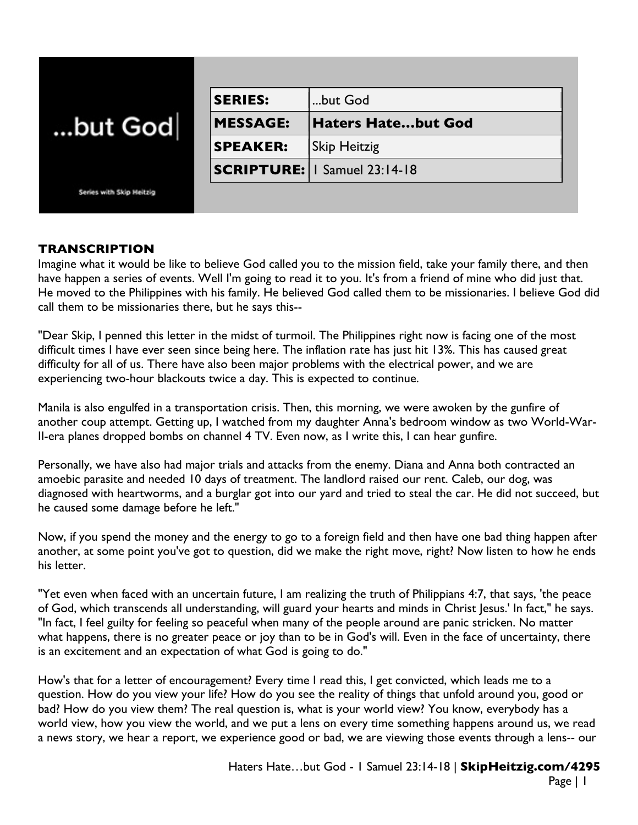| but God                  | <b>SERIES:</b>  | but God                               |
|--------------------------|-----------------|---------------------------------------|
|                          | <b>MESSAGE:</b> | <b>Haters Hatebut God</b>             |
|                          | <b>SPEAKER:</b> | <b>Skip Heitzig</b>                   |
|                          |                 | <b>SCRIPTURE:   I Samuel 23:14-18</b> |
| Series with Skip Heitzig |                 |                                       |

## **TRANSCRIPTION**

Imagine what it would be like to believe God called you to the mission field, take your family there, and then have happen a series of events. Well I'm going to read it to you. It's from a friend of mine who did just that. He moved to the Philippines with his family. He believed God called them to be missionaries. I believe God did call them to be missionaries there, but he says this--

"Dear Skip, I penned this letter in the midst of turmoil. The Philippines right now is facing one of the most difficult times I have ever seen since being here. The inflation rate has just hit 13%. This has caused great difficulty for all of us. There have also been major problems with the electrical power, and we are experiencing two-hour blackouts twice a day. This is expected to continue.

Manila is also engulfed in a transportation crisis. Then, this morning, we were awoken by the gunfire of another coup attempt. Getting up, I watched from my daughter Anna's bedroom window as two World-War-II-era planes dropped bombs on channel 4 TV. Even now, as I write this, I can hear gunfire.

Personally, we have also had major trials and attacks from the enemy. Diana and Anna both contracted an amoebic parasite and needed 10 days of treatment. The landlord raised our rent. Caleb, our dog, was diagnosed with heartworms, and a burglar got into our yard and tried to steal the car. He did not succeed, but he caused some damage before he left."

Now, if you spend the money and the energy to go to a foreign field and then have one bad thing happen after another, at some point you've got to question, did we make the right move, right? Now listen to how he ends his letter.

"Yet even when faced with an uncertain future, I am realizing the truth of Philippians 4:7, that says, 'the peace of God, which transcends all understanding, will guard your hearts and minds in Christ Jesus.' In fact," he says. "In fact, I feel guilty for feeling so peaceful when many of the people around are panic stricken. No matter what happens, there is no greater peace or joy than to be in God's will. Even in the face of uncertainty, there is an excitement and an expectation of what God is going to do."

How's that for a letter of encouragement? Every time I read this, I get convicted, which leads me to a question. How do you view your life? How do you see the reality of things that unfold around you, good or bad? How do you view them? The real question is, what is your world view? You know, everybody has a world view, how you view the world, and we put a lens on every time something happens around us, we read a news story, we hear a report, we experience good or bad, we are viewing those events through a lens-- our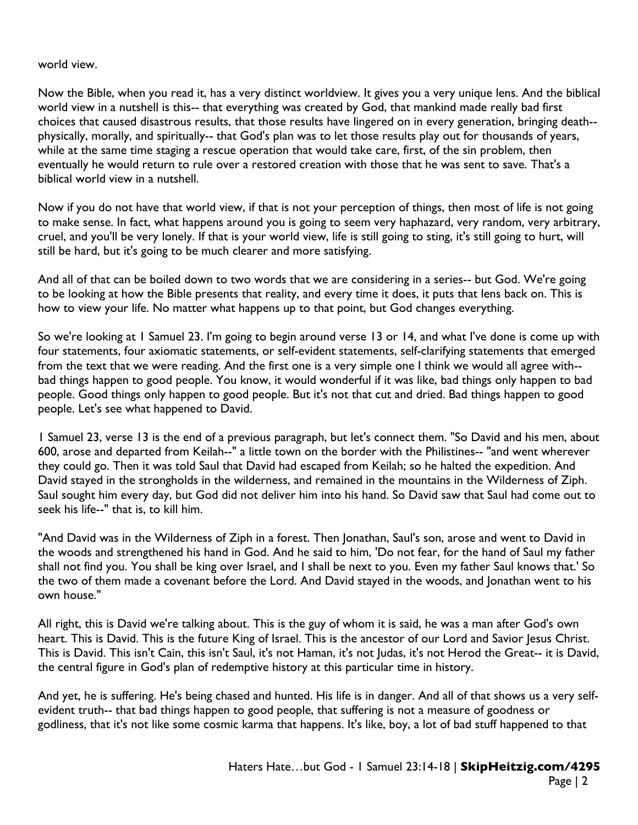world view.

Now the Bible, when you read it, has a very distinct worldview. It gives you a very unique lens. And the biblical world view in a nutshell is this-- that everything was created by God, that mankind made really bad first choices that caused disastrous results, that those results have lingered on in every generation, bringing death- physically, morally, and spiritually-- that God's plan was to let those results play out for thousands of years, while at the same time staging a rescue operation that would take care, first, of the sin problem, then eventually he would return to rule over a restored creation with those that he was sent to save. That's a biblical world view in a nutshell.

Now if you do not have that world view, if that is not your perception of things, then most of life is not going to make sense. In fact, what happens around you is going to seem very haphazard, very random, very arbitrary, cruel, and you'll be very lonely. If that is your world view, life is still going to sting, it's still going to hurt, will still be hard, but it's going to be much clearer and more satisfying.

And all of that can be boiled down to two words that we are considering in a series-- but God. We're going to be looking at how the Bible presents that reality, and every time it does, it puts that lens back on. This is how to view your life. No matter what happens up to that point, but God changes everything.

So we're looking at 1 Samuel 23. I'm going to begin around verse 13 or 14, and what I've done is come up with four statements, four axiomatic statements, or self-evident statements, self-clarifying statements that emerged from the text that we were reading. And the first one is a very simple one I think we would all agree with- bad things happen to good people. You know, it would wonderful if it was like, bad things only happen to bad people. Good things only happen to good people. But it's not that cut and dried. Bad things happen to good people. Let's see what happened to David.

1 Samuel 23, verse 13 is the end of a previous paragraph, but let's connect them. "So David and his men, about 600, arose and departed from Keilah--" a little town on the border with the Philistines-- "and went wherever they could go. Then it was told Saul that David had escaped from Keilah; so he halted the expedition. And David stayed in the strongholds in the wilderness, and remained in the mountains in the Wilderness of Ziph. Saul sought him every day, but God did not deliver him into his hand. So David saw that Saul had come out to seek his life--" that is, to kill him.

"And David was in the Wilderness of Ziph in a forest. Then Jonathan, Saul's son, arose and went to David in the woods and strengthened his hand in God. And he said to him, 'Do not fear, for the hand of Saul my father shall not find you. You shall be king over Israel, and I shall be next to you. Even my father Saul knows that.' So the two of them made a covenant before the Lord. And David stayed in the woods, and Jonathan went to his own house."

All right, this is David we're talking about. This is the guy of whom it is said, he was a man after God's own heart. This is David. This is the future King of Israel. This is the ancestor of our Lord and Savior Jesus Christ. This is David. This isn't Cain, this isn't Saul, it's not Haman, it's not Judas, it's not Herod the Great-- it is David, the central figure in God's plan of redemptive history at this particular time in history.

And yet, he is suffering. He's being chased and hunted. His life is in danger. And all of that shows us a very selfevident truth-- that bad things happen to good people, that suffering is not a measure of goodness or godliness, that it's not like some cosmic karma that happens. It's like, boy, a lot of bad stuff happened to that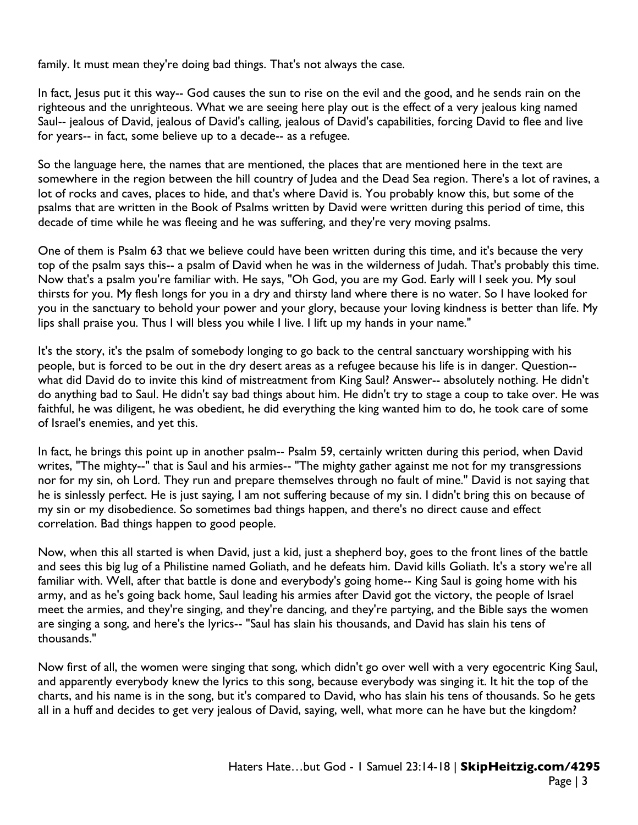family. It must mean they're doing bad things. That's not always the case.

In fact, Jesus put it this way-- God causes the sun to rise on the evil and the good, and he sends rain on the righteous and the unrighteous. What we are seeing here play out is the effect of a very jealous king named Saul-- jealous of David, jealous of David's calling, jealous of David's capabilities, forcing David to flee and live for years-- in fact, some believe up to a decade-- as a refugee.

So the language here, the names that are mentioned, the places that are mentioned here in the text are somewhere in the region between the hill country of Judea and the Dead Sea region. There's a lot of ravines, a lot of rocks and caves, places to hide, and that's where David is. You probably know this, but some of the psalms that are written in the Book of Psalms written by David were written during this period of time, this decade of time while he was fleeing and he was suffering, and they're very moving psalms.

One of them is Psalm 63 that we believe could have been written during this time, and it's because the very top of the psalm says this-- a psalm of David when he was in the wilderness of Judah. That's probably this time. Now that's a psalm you're familiar with. He says, "Oh God, you are my God. Early will I seek you. My soul thirsts for you. My flesh longs for you in a dry and thirsty land where there is no water. So I have looked for you in the sanctuary to behold your power and your glory, because your loving kindness is better than life. My lips shall praise you. Thus I will bless you while I live. I lift up my hands in your name."

It's the story, it's the psalm of somebody longing to go back to the central sanctuary worshipping with his people, but is forced to be out in the dry desert areas as a refugee because his life is in danger. Question- what did David do to invite this kind of mistreatment from King Saul? Answer-- absolutely nothing. He didn't do anything bad to Saul. He didn't say bad things about him. He didn't try to stage a coup to take over. He was faithful, he was diligent, he was obedient, he did everything the king wanted him to do, he took care of some of Israel's enemies, and yet this.

In fact, he brings this point up in another psalm-- Psalm 59, certainly written during this period, when David writes, "The mighty--" that is Saul and his armies-- "The mighty gather against me not for my transgressions nor for my sin, oh Lord. They run and prepare themselves through no fault of mine." David is not saying that he is sinlessly perfect. He is just saying, I am not suffering because of my sin. I didn't bring this on because of my sin or my disobedience. So sometimes bad things happen, and there's no direct cause and effect correlation. Bad things happen to good people.

Now, when this all started is when David, just a kid, just a shepherd boy, goes to the front lines of the battle and sees this big lug of a Philistine named Goliath, and he defeats him. David kills Goliath. It's a story we're all familiar with. Well, after that battle is done and everybody's going home-- King Saul is going home with his army, and as he's going back home, Saul leading his armies after David got the victory, the people of Israel meet the armies, and they're singing, and they're dancing, and they're partying, and the Bible says the women are singing a song, and here's the lyrics-- "Saul has slain his thousands, and David has slain his tens of thousands."

Now first of all, the women were singing that song, which didn't go over well with a very egocentric King Saul, and apparently everybody knew the lyrics to this song, because everybody was singing it. It hit the top of the charts, and his name is in the song, but it's compared to David, who has slain his tens of thousands. So he gets all in a huff and decides to get very jealous of David, saying, well, what more can he have but the kingdom?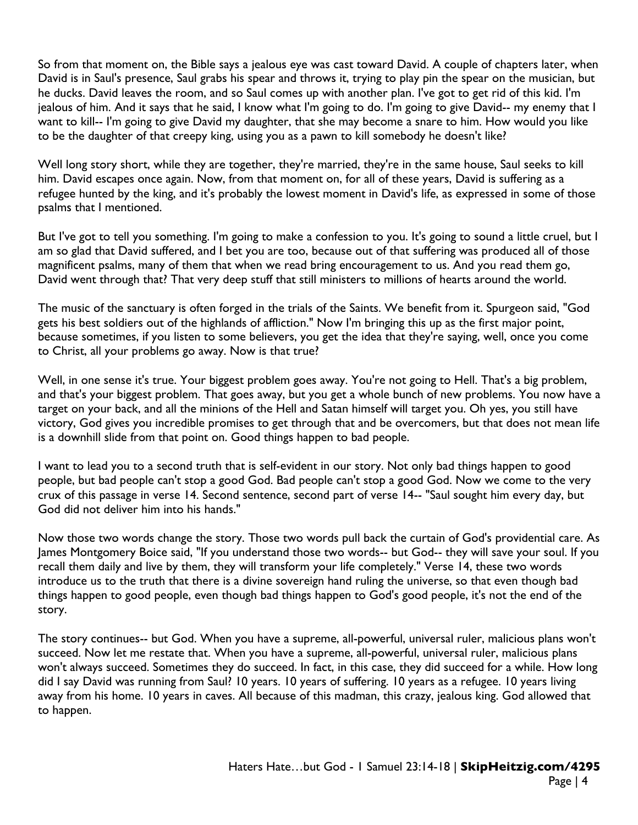So from that moment on, the Bible says a jealous eye was cast toward David. A couple of chapters later, when David is in Saul's presence, Saul grabs his spear and throws it, trying to play pin the spear on the musician, but he ducks. David leaves the room, and so Saul comes up with another plan. I've got to get rid of this kid. I'm jealous of him. And it says that he said, I know what I'm going to do. I'm going to give David-- my enemy that I want to kill-- I'm going to give David my daughter, that she may become a snare to him. How would you like to be the daughter of that creepy king, using you as a pawn to kill somebody he doesn't like?

Well long story short, while they are together, they're married, they're in the same house, Saul seeks to kill him. David escapes once again. Now, from that moment on, for all of these years, David is suffering as a refugee hunted by the king, and it's probably the lowest moment in David's life, as expressed in some of those psalms that I mentioned.

But I've got to tell you something. I'm going to make a confession to you. It's going to sound a little cruel, but I am so glad that David suffered, and I bet you are too, because out of that suffering was produced all of those magnificent psalms, many of them that when we read bring encouragement to us. And you read them go, David went through that? That very deep stuff that still ministers to millions of hearts around the world.

The music of the sanctuary is often forged in the trials of the Saints. We benefit from it. Spurgeon said, "God gets his best soldiers out of the highlands of affliction." Now I'm bringing this up as the first major point, because sometimes, if you listen to some believers, you get the idea that they're saying, well, once you come to Christ, all your problems go away. Now is that true?

Well, in one sense it's true. Your biggest problem goes away. You're not going to Hell. That's a big problem, and that's your biggest problem. That goes away, but you get a whole bunch of new problems. You now have a target on your back, and all the minions of the Hell and Satan himself will target you. Oh yes, you still have victory, God gives you incredible promises to get through that and be overcomers, but that does not mean life is a downhill slide from that point on. Good things happen to bad people.

I want to lead you to a second truth that is self-evident in our story. Not only bad things happen to good people, but bad people can't stop a good God. Bad people can't stop a good God. Now we come to the very crux of this passage in verse 14. Second sentence, second part of verse 14-- "Saul sought him every day, but God did not deliver him into his hands."

Now those two words change the story. Those two words pull back the curtain of God's providential care. As James Montgomery Boice said, "If you understand those two words-- but God-- they will save your soul. If you recall them daily and live by them, they will transform your life completely." Verse 14, these two words introduce us to the truth that there is a divine sovereign hand ruling the universe, so that even though bad things happen to good people, even though bad things happen to God's good people, it's not the end of the story.

The story continues-- but God. When you have a supreme, all-powerful, universal ruler, malicious plans won't succeed. Now let me restate that. When you have a supreme, all-powerful, universal ruler, malicious plans won't always succeed. Sometimes they do succeed. In fact, in this case, they did succeed for a while. How long did I say David was running from Saul? 10 years. 10 years of suffering. 10 years as a refugee. 10 years living away from his home. 10 years in caves. All because of this madman, this crazy, jealous king. God allowed that to happen.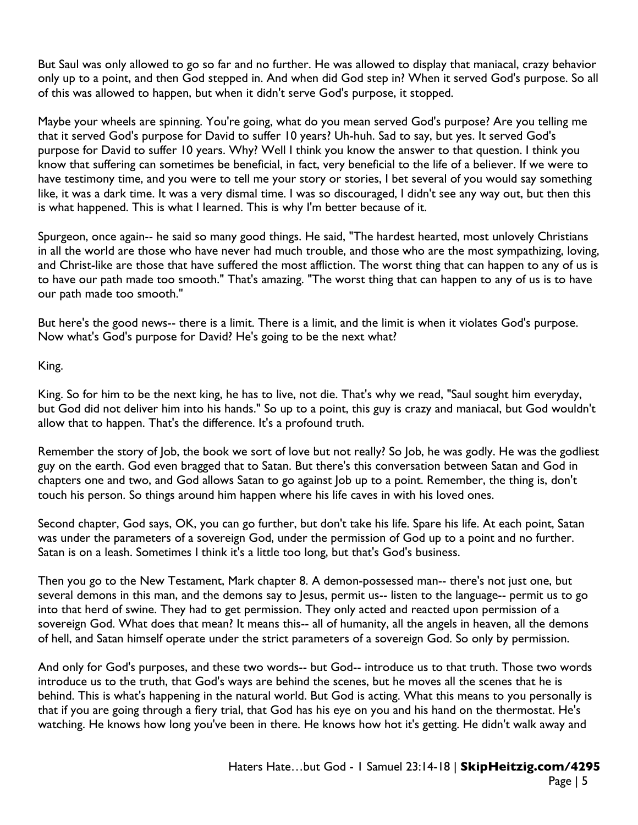But Saul was only allowed to go so far and no further. He was allowed to display that maniacal, crazy behavior only up to a point, and then God stepped in. And when did God step in? When it served God's purpose. So all of this was allowed to happen, but when it didn't serve God's purpose, it stopped.

Maybe your wheels are spinning. You're going, what do you mean served God's purpose? Are you telling me that it served God's purpose for David to suffer 10 years? Uh-huh. Sad to say, but yes. It served God's purpose for David to suffer 10 years. Why? Well I think you know the answer to that question. I think you know that suffering can sometimes be beneficial, in fact, very beneficial to the life of a believer. If we were to have testimony time, and you were to tell me your story or stories, I bet several of you would say something like, it was a dark time. It was a very dismal time. I was so discouraged, I didn't see any way out, but then this is what happened. This is what I learned. This is why I'm better because of it.

Spurgeon, once again-- he said so many good things. He said, "The hardest hearted, most unlovely Christians in all the world are those who have never had much trouble, and those who are the most sympathizing, loving, and Christ-like are those that have suffered the most affliction. The worst thing that can happen to any of us is to have our path made too smooth." That's amazing. "The worst thing that can happen to any of us is to have our path made too smooth."

But here's the good news-- there is a limit. There is a limit, and the limit is when it violates God's purpose. Now what's God's purpose for David? He's going to be the next what?

King.

King. So for him to be the next king, he has to live, not die. That's why we read, "Saul sought him everyday, but God did not deliver him into his hands." So up to a point, this guy is crazy and maniacal, but God wouldn't allow that to happen. That's the difference. It's a profound truth.

Remember the story of Job, the book we sort of love but not really? So Job, he was godly. He was the godliest guy on the earth. God even bragged that to Satan. But there's this conversation between Satan and God in chapters one and two, and God allows Satan to go against Job up to a point. Remember, the thing is, don't touch his person. So things around him happen where his life caves in with his loved ones.

Second chapter, God says, OK, you can go further, but don't take his life. Spare his life. At each point, Satan was under the parameters of a sovereign God, under the permission of God up to a point and no further. Satan is on a leash. Sometimes I think it's a little too long, but that's God's business.

Then you go to the New Testament, Mark chapter 8. A demon-possessed man-- there's not just one, but several demons in this man, and the demons say to Jesus, permit us-- listen to the language-- permit us to go into that herd of swine. They had to get permission. They only acted and reacted upon permission of a sovereign God. What does that mean? It means this-- all of humanity, all the angels in heaven, all the demons of hell, and Satan himself operate under the strict parameters of a sovereign God. So only by permission.

And only for God's purposes, and these two words-- but God-- introduce us to that truth. Those two words introduce us to the truth, that God's ways are behind the scenes, but he moves all the scenes that he is behind. This is what's happening in the natural world. But God is acting. What this means to you personally is that if you are going through a fiery trial, that God has his eye on you and his hand on the thermostat. He's watching. He knows how long you've been in there. He knows how hot it's getting. He didn't walk away and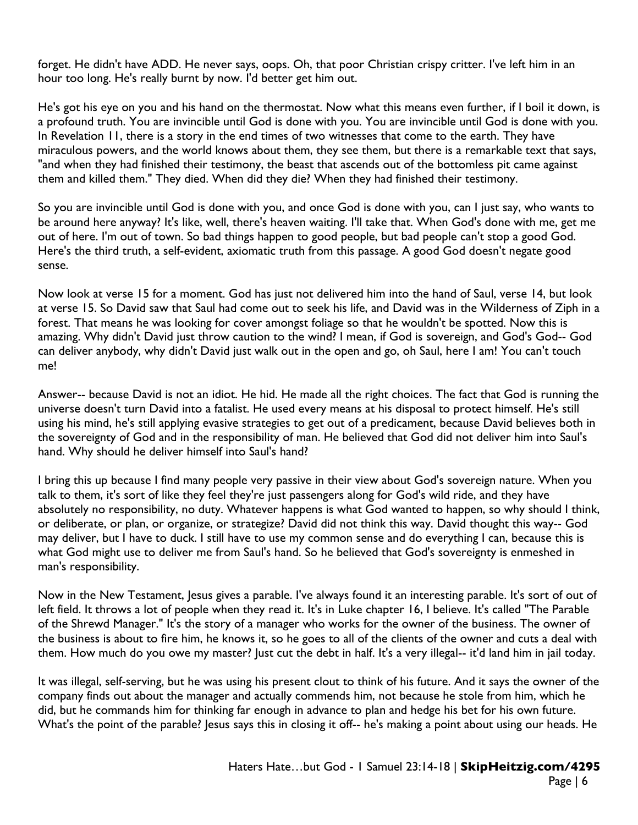forget. He didn't have ADD. He never says, oops. Oh, that poor Christian crispy critter. I've left him in an hour too long. He's really burnt by now. I'd better get him out.

He's got his eye on you and his hand on the thermostat. Now what this means even further, if I boil it down, is a profound truth. You are invincible until God is done with you. You are invincible until God is done with you. In Revelation 11, there is a story in the end times of two witnesses that come to the earth. They have miraculous powers, and the world knows about them, they see them, but there is a remarkable text that says, "and when they had finished their testimony, the beast that ascends out of the bottomless pit came against them and killed them." They died. When did they die? When they had finished their testimony.

So you are invincible until God is done with you, and once God is done with you, can I just say, who wants to be around here anyway? It's like, well, there's heaven waiting. I'll take that. When God's done with me, get me out of here. I'm out of town. So bad things happen to good people, but bad people can't stop a good God. Here's the third truth, a self-evident, axiomatic truth from this passage. A good God doesn't negate good sense.

Now look at verse 15 for a moment. God has just not delivered him into the hand of Saul, verse 14, but look at verse 15. So David saw that Saul had come out to seek his life, and David was in the Wilderness of Ziph in a forest. That means he was looking for cover amongst foliage so that he wouldn't be spotted. Now this is amazing. Why didn't David just throw caution to the wind? I mean, if God is sovereign, and God's God-- God can deliver anybody, why didn't David just walk out in the open and go, oh Saul, here I am! You can't touch me!

Answer-- because David is not an idiot. He hid. He made all the right choices. The fact that God is running the universe doesn't turn David into a fatalist. He used every means at his disposal to protect himself. He's still using his mind, he's still applying evasive strategies to get out of a predicament, because David believes both in the sovereignty of God and in the responsibility of man. He believed that God did not deliver him into Saul's hand. Why should he deliver himself into Saul's hand?

I bring this up because I find many people very passive in their view about God's sovereign nature. When you talk to them, it's sort of like they feel they're just passengers along for God's wild ride, and they have absolutely no responsibility, no duty. Whatever happens is what God wanted to happen, so why should I think, or deliberate, or plan, or organize, or strategize? David did not think this way. David thought this way-- God may deliver, but I have to duck. I still have to use my common sense and do everything I can, because this is what God might use to deliver me from Saul's hand. So he believed that God's sovereignty is enmeshed in man's responsibility.

Now in the New Testament, Jesus gives a parable. I've always found it an interesting parable. It's sort of out of left field. It throws a lot of people when they read it. It's in Luke chapter 16, I believe. It's called "The Parable of the Shrewd Manager." It's the story of a manager who works for the owner of the business. The owner of the business is about to fire him, he knows it, so he goes to all of the clients of the owner and cuts a deal with them. How much do you owe my master? Just cut the debt in half. It's a very illegal-- it'd land him in jail today.

It was illegal, self-serving, but he was using his present clout to think of his future. And it says the owner of the company finds out about the manager and actually commends him, not because he stole from him, which he did, but he commands him for thinking far enough in advance to plan and hedge his bet for his own future. What's the point of the parable? Jesus says this in closing it off-- he's making a point about using our heads. He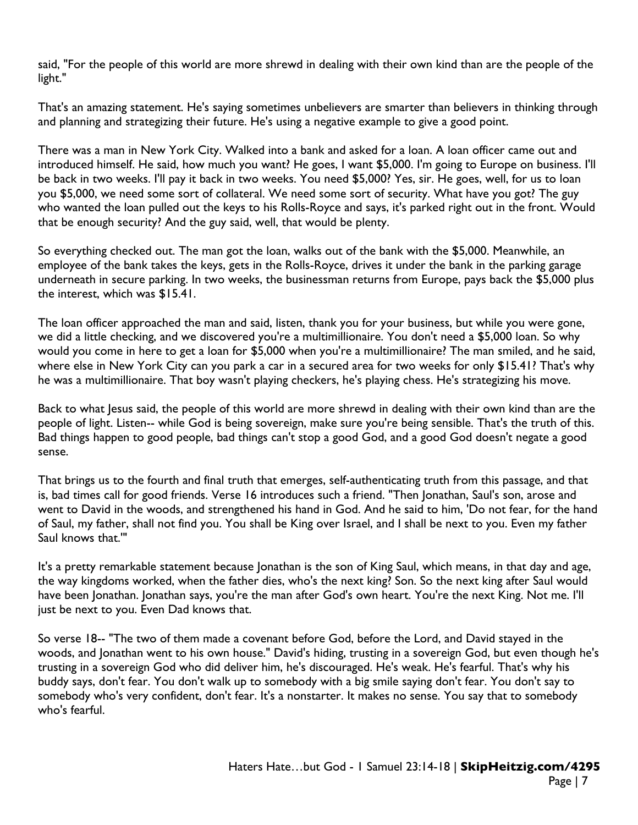said, "For the people of this world are more shrewd in dealing with their own kind than are the people of the light."

That's an amazing statement. He's saying sometimes unbelievers are smarter than believers in thinking through and planning and strategizing their future. He's using a negative example to give a good point.

There was a man in New York City. Walked into a bank and asked for a loan. A loan officer came out and introduced himself. He said, how much you want? He goes, I want \$5,000. I'm going to Europe on business. I'll be back in two weeks. I'll pay it back in two weeks. You need \$5,000? Yes, sir. He goes, well, for us to loan you \$5,000, we need some sort of collateral. We need some sort of security. What have you got? The guy who wanted the loan pulled out the keys to his Rolls-Royce and says, it's parked right out in the front. Would that be enough security? And the guy said, well, that would be plenty.

So everything checked out. The man got the loan, walks out of the bank with the \$5,000. Meanwhile, an employee of the bank takes the keys, gets in the Rolls-Royce, drives it under the bank in the parking garage underneath in secure parking. In two weeks, the businessman returns from Europe, pays back the \$5,000 plus the interest, which was \$15.41.

The loan officer approached the man and said, listen, thank you for your business, but while you were gone, we did a little checking, and we discovered you're a multimillionaire. You don't need a \$5,000 loan. So why would you come in here to get a loan for \$5,000 when you're a multimillionaire? The man smiled, and he said, where else in New York City can you park a car in a secured area for two weeks for only \$15.41? That's why he was a multimillionaire. That boy wasn't playing checkers, he's playing chess. He's strategizing his move.

Back to what Jesus said, the people of this world are more shrewd in dealing with their own kind than are the people of light. Listen-- while God is being sovereign, make sure you're being sensible. That's the truth of this. Bad things happen to good people, bad things can't stop a good God, and a good God doesn't negate a good sense.

That brings us to the fourth and final truth that emerges, self-authenticating truth from this passage, and that is, bad times call for good friends. Verse 16 introduces such a friend. "Then Jonathan, Saul's son, arose and went to David in the woods, and strengthened his hand in God. And he said to him, 'Do not fear, for the hand of Saul, my father, shall not find you. You shall be King over Israel, and I shall be next to you. Even my father Saul knows that.'"

It's a pretty remarkable statement because Jonathan is the son of King Saul, which means, in that day and age, the way kingdoms worked, when the father dies, who's the next king? Son. So the next king after Saul would have been Jonathan. Jonathan says, you're the man after God's own heart. You're the next King. Not me. I'll just be next to you. Even Dad knows that.

So verse 18-- "The two of them made a covenant before God, before the Lord, and David stayed in the woods, and Jonathan went to his own house." David's hiding, trusting in a sovereign God, but even though he's trusting in a sovereign God who did deliver him, he's discouraged. He's weak. He's fearful. That's why his buddy says, don't fear. You don't walk up to somebody with a big smile saying don't fear. You don't say to somebody who's very confident, don't fear. It's a nonstarter. It makes no sense. You say that to somebody who's fearful.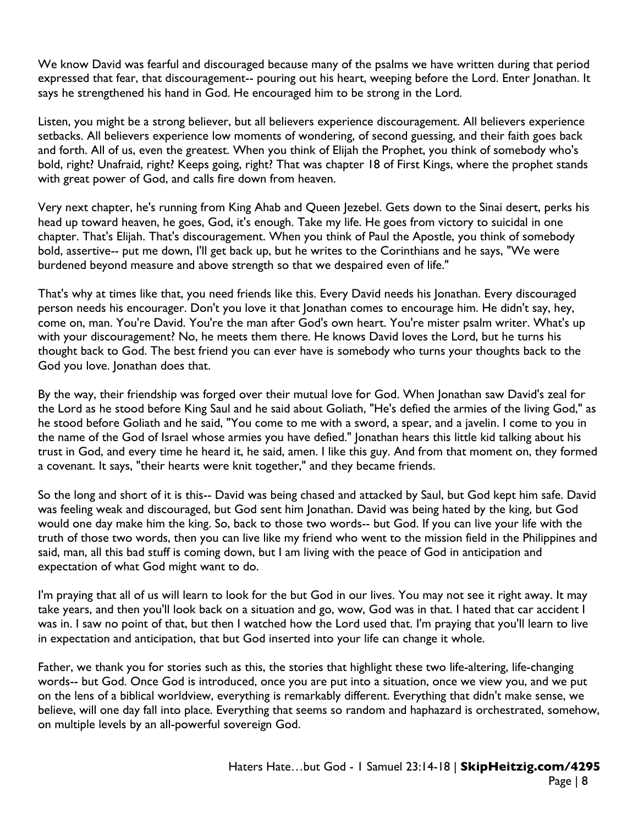We know David was fearful and discouraged because many of the psalms we have written during that period expressed that fear, that discouragement-- pouring out his heart, weeping before the Lord. Enter Jonathan. It says he strengthened his hand in God. He encouraged him to be strong in the Lord.

Listen, you might be a strong believer, but all believers experience discouragement. All believers experience setbacks. All believers experience low moments of wondering, of second guessing, and their faith goes back and forth. All of us, even the greatest. When you think of Elijah the Prophet, you think of somebody who's bold, right? Unafraid, right? Keeps going, right? That was chapter 18 of First Kings, where the prophet stands with great power of God, and calls fire down from heaven.

Very next chapter, he's running from King Ahab and Queen Jezebel. Gets down to the Sinai desert, perks his head up toward heaven, he goes, God, it's enough. Take my life. He goes from victory to suicidal in one chapter. That's Elijah. That's discouragement. When you think of Paul the Apostle, you think of somebody bold, assertive-- put me down, I'll get back up, but he writes to the Corinthians and he says, "We were burdened beyond measure and above strength so that we despaired even of life."

That's why at times like that, you need friends like this. Every David needs his Jonathan. Every discouraged person needs his encourager. Don't you love it that Jonathan comes to encourage him. He didn't say, hey, come on, man. You're David. You're the man after God's own heart. You're mister psalm writer. What's up with your discouragement? No, he meets them there. He knows David loves the Lord, but he turns his thought back to God. The best friend you can ever have is somebody who turns your thoughts back to the God you love. Jonathan does that.

By the way, their friendship was forged over their mutual love for God. When Jonathan saw David's zeal for the Lord as he stood before King Saul and he said about Goliath, "He's defied the armies of the living God," as he stood before Goliath and he said, "You come to me with a sword, a spear, and a javelin. I come to you in the name of the God of Israel whose armies you have defied." Jonathan hears this little kid talking about his trust in God, and every time he heard it, he said, amen. I like this guy. And from that moment on, they formed a covenant. It says, "their hearts were knit together," and they became friends.

So the long and short of it is this-- David was being chased and attacked by Saul, but God kept him safe. David was feeling weak and discouraged, but God sent him Jonathan. David was being hated by the king, but God would one day make him the king. So, back to those two words-- but God. If you can live your life with the truth of those two words, then you can live like my friend who went to the mission field in the Philippines and said, man, all this bad stuff is coming down, but I am living with the peace of God in anticipation and expectation of what God might want to do.

I'm praying that all of us will learn to look for the but God in our lives. You may not see it right away. It may take years, and then you'll look back on a situation and go, wow, God was in that. I hated that car accident I was in. I saw no point of that, but then I watched how the Lord used that. I'm praying that you'll learn to live in expectation and anticipation, that but God inserted into your life can change it whole.

Father, we thank you for stories such as this, the stories that highlight these two life-altering, life-changing words-- but God. Once God is introduced, once you are put into a situation, once we view you, and we put on the lens of a biblical worldview, everything is remarkably different. Everything that didn't make sense, we believe, will one day fall into place. Everything that seems so random and haphazard is orchestrated, somehow, on multiple levels by an all-powerful sovereign God.